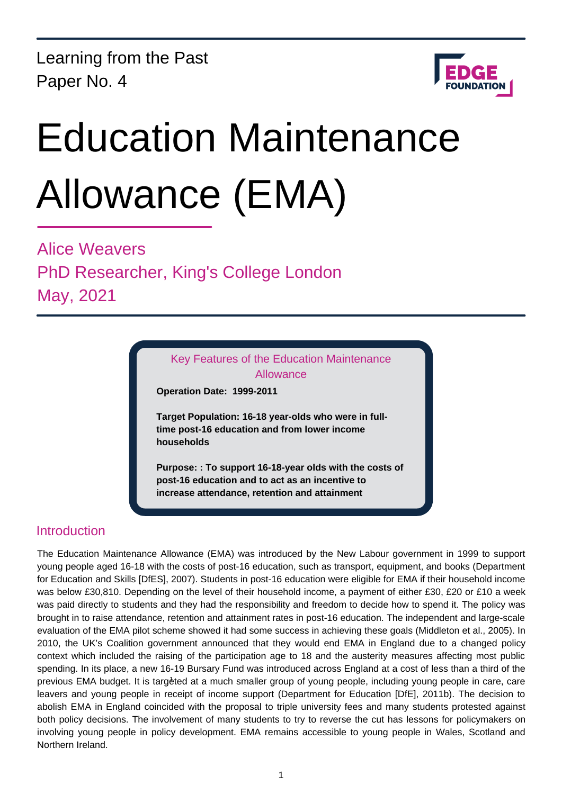Learning from the Past Paper No. 4



# Education Maintenance Allowance (EMA)

Alice Weavers PhD Researcher, King's College London May, 2021

> Key Features of the Education Maintenance Allowance

**Operation Date: 1999-2011**

**Target Population: 16-18 year-olds who were in fulltime post-16 education and from lower income households**

**Purpose: : To support 16-18-year olds with the costs of post-16 education and to act as an incentive to increase attendance, retention and attainment**

## Introduction

The Education Maintenance Allowance (EMA) was introduced by the New Labour government in 1999 to support young people aged 16-18 with the costs of post-16 education, such as transport, equipment, and books (Department for Education and Skills [DfES], 2007). Students in post-16 education were eligible for EMA if their household income was below £30,810. Depending on the level of their household income, a payment of either £30, £20 or £10 a week was paid directly to students and they had the responsibility and freedom to decide how to spend it. The policy was brought in to raise attendance, retention and attainment rates in post-16 education. The independent and large-scale evaluation of the EMA pilot scheme showed it had some success in achieving these goals (Middleton et al., 2005). In 2010, the UK's Coalition government announced that they would end EMA in England due to a changed policy context which included the raising of the participation age to 18 and the austerity measures affecting most public spending. In its place, a new 16-19 Bursary Fund was introduced across England at a cost of less than a third of the previous EMA budget. It is targeted at a much smaller group of young people, including young people in care, care leavers and young people in receipt of income support (Department for Education [DfE], 2011b). The decision to abolish EMA in England coincided with the proposal to triple university fees and many students protested against both policy decisions. The involvement of many students to try to reverse the cut has lessons for policymakers on involving young people in policy development. EMA remains accessible to young people in Wales, Scotland and Northern Ireland.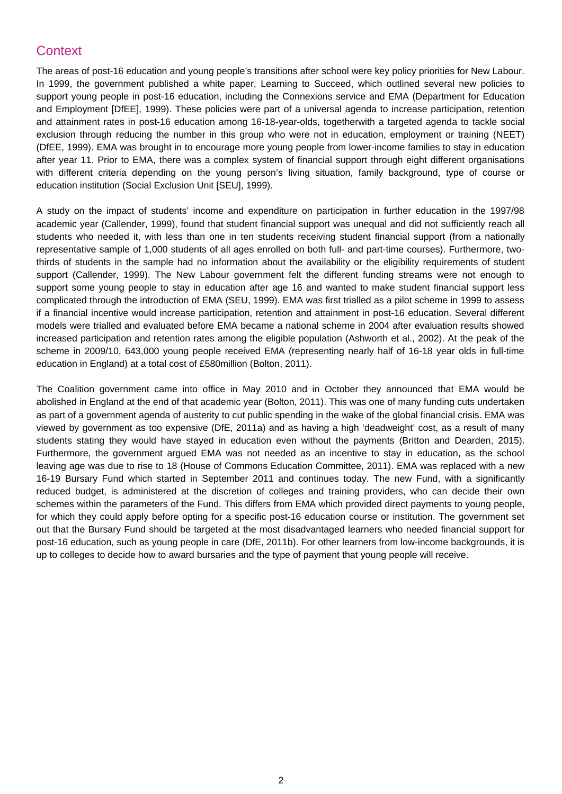# **Context**

The areas of post-16 education and young people's transitions after school were key policy priorities for New Labour. In 1999, the government published a white paper, Learning to Succeed, which outlined several new policies to support young people in post-16 education, including the Connexions service and EMA (Department for Education and Employment [DfEE], 1999). These policies were part of a universal agenda to increase participation, retention and attainment rates in post-16 education among 16-18-year-olds, togetherwith a targeted agenda to tackle social exclusion through reducing the number in this group who were not in education, employment or training (NEET) (DfEE, 1999). EMA was brought in to encourage more young people from lower-income families to stay in education after year 11. Prior to EMA, there was a complex system of financial support through eight different organisations with different criteria depending on the young person's living situation, family background, type of course or education institution (Social Exclusion Unit [SEU], 1999).

A study on the impact of students' income and expenditure on participation in further education in the 1997/98 academic year (Callender, 1999), found that student financial support was unequal and did not sufficiently reach all students who needed it, with less than one in ten students receiving student financial support (from a nationally representative sample of 1,000 students of all ages enrolled on both full- and part-time courses). Furthermore, twothirds of students in the sample had no information about the availability or the eligibility requirements of student support (Callender, 1999). The New Labour government felt the different funding streams were not enough to support some young people to stay in education after age 16 and wanted to make student financial support less complicated through the introduction of EMA (SEU, 1999). EMA was first trialled as a pilot scheme in 1999 to assess if a financial incentive would increase participation, retention and attainment in post-16 education. Several different models were trialled and evaluated before EMA became a national scheme in 2004 after evaluation results showed increased participation and retention rates among the eligible population (Ashworth et al., 2002). At the peak of the scheme in 2009/10, 643,000 young people received EMA (representing nearly half of 16-18 year olds in full-time education in England) at a total cost of £580million (Bolton, 2011).

The Coalition government came into office in May 2010 and in October they announced that EMA would be abolished in England at the end of that academic year (Bolton, 2011). This was one of many funding cuts undertaken as part of a government agenda of austerity to cut public spending in the wake of the global financial crisis. EMA was viewed by government as too expensive (DfE, 2011a) and as having a high 'deadweight' cost, as a result of many students stating they would have stayed in education even without the payments (Britton and Dearden, 2015). Furthermore, the government argued EMA was not needed as an incentive to stay in education, as the school leaving age was due to rise to 18 (House of Commons Education Committee, 2011). EMA was replaced with a new 16-19 Bursary Fund which started in September 2011 and continues today. The new Fund, with a significantly reduced budget, is administered at the discretion of colleges and training providers, who can decide their own schemes within the parameters of the Fund. This differs from EMA which provided direct payments to young people, for which they could apply before opting for a specific post-16 education course or institution. The government set out that the Bursary Fund should be targeted at the most disadvantaged learners who needed financial support for post-16 education, such as young people in care (DfE, 2011b). For other learners from low-income backgrounds, it is up to colleges to decide how to award bursaries and the type of payment that young people will receive.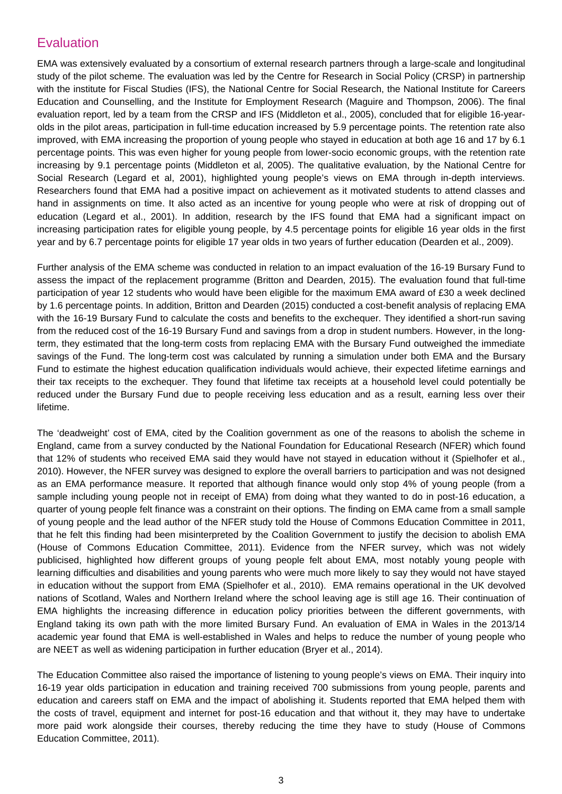### Evaluation

EMA was extensively evaluated by a consortium of external research partners through a large-scale and longitudinal study of the pilot scheme. The evaluation was led by the Centre for Research in Social Policy (CRSP) in partnership with the institute for Fiscal Studies (IFS), the National Centre for Social Research, the National Institute for Careers Education and Counselling, and the Institute for Employment Research (Maguire and Thompson, 2006). The final evaluation report, led by a team from the CRSP and IFS (Middleton et al., 2005), concluded that for eligible 16-yearolds in the pilot areas, participation in full-time education increased by 5.9 percentage points. The retention rate also improved, with EMA increasing the proportion of young people who stayed in education at both age 16 and 17 by 6.1 percentage points. This was even higher for young people from lower-socio economic groups, with the retention rate increasing by 9.1 percentage points (Middleton et al, 2005). The qualitative evaluation, by the National Centre for Social Research (Legard et al, 2001), highlighted young people's views on EMA through in-depth interviews. Researchers found that EMA had a positive impact on achievement as it motivated students to attend classes and hand in assignments on time. It also acted as an incentive for young people who were at risk of dropping out of education (Legard et al., 2001). In addition, research by the IFS found that EMA had a significant impact on increasing participation rates for eligible young people, by 4.5 percentage points for eligible 16 year olds in the first year and by 6.7 percentage points for eligible 17 year olds in two years of further education (Dearden et al., 2009).

Further analysis of the EMA scheme was conducted in relation to an impact evaluation of the 16-19 Bursary Fund to assess the impact of the replacement programme (Britton and Dearden, 2015). The evaluation found that full-time participation of year 12 students who would have been eligible for the maximum EMA award of £30 a week declined by 1.6 percentage points. In addition, Britton and Dearden (2015) conducted a cost-benefit analysis of replacing EMA with the 16-19 Bursary Fund to calculate the costs and benefits to the exchequer. They identified a short-run saving from the reduced cost of the 16-19 Bursary Fund and savings from a drop in student numbers. However, in the longterm, they estimated that the long-term costs from replacing EMA with the Bursary Fund outweighed the immediate savings of the Fund. The long-term cost was calculated by running a simulation under both EMA and the Bursary Fund to estimate the highest education qualification individuals would achieve, their expected lifetime earnings and their tax receipts to the exchequer. They found that lifetime tax receipts at a household level could potentially be reduced under the Bursary Fund due to people receiving less education and as a result, earning less over their lifetime.

The 'deadweight' cost of EMA, cited by the Coalition government as one of the reasons to abolish the scheme in England, came from a survey conducted by the National Foundation for Educational Research (NFER) which found that 12% of students who received EMA said they would have not stayed in education without it (Spielhofer et al., 2010). However, the NFER survey was designed to explore the overall barriers to participation and was not designed as an EMA performance measure. It reported that although finance would only stop 4% of young people (from a sample including young people not in receipt of EMA) from doing what they wanted to do in post-16 education, a quarter of young people felt finance was a constraint on their options. The finding on EMA came from a small sample of young people and the lead author of the NFER study told the House of Commons Education Committee in 2011, that he felt this finding had been misinterpreted by the Coalition Government to justify the decision to abolish EMA (House of Commons Education Committee, 2011). Evidence from the NFER survey, which was not widely publicised, highlighted how different groups of young people felt about EMA, most notably young people with learning difficulties and disabilities and young parents who were much more likely to say they would not have stayed in education without the support from EMA (Spielhofer et al., 2010). EMA remains operational in the UK devolved nations of Scotland, Wales and Northern Ireland where the school leaving age is still age 16. Their continuation of EMA highlights the increasing difference in education policy priorities between the different governments, with England taking its own path with the more limited Bursary Fund. An evaluation of EMA in Wales in the 2013/14 academic year found that EMA is well-established in Wales and helps to reduce the number of young people who are NEET as well as widening participation in further education (Bryer et al., 2014).

The Education Committee also raised the importance of listening to young people's views on EMA. Their inquiry into 16-19 year olds participation in education and training received 700 submissions from young people, parents and education and careers staff on EMA and the impact of abolishing it. Students reported that EMA helped them with the costs of travel, equipment and internet for post-16 education and that without it, they may have to undertake more paid work alongside their courses, thereby reducing the time they have to study (House of Commons Education Committee, 2011).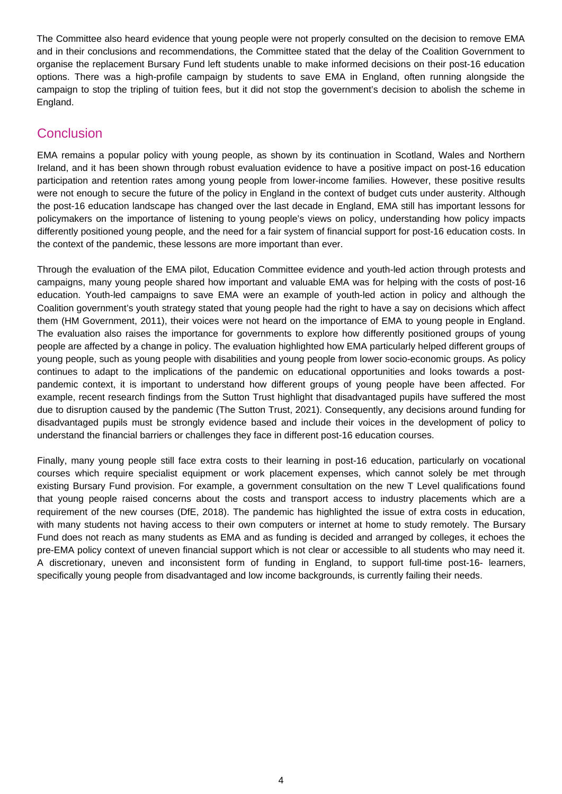The Committee also heard evidence that young people were not properly consulted on the decision to remove EMA and in their conclusions and recommendations, the Committee stated that the delay of the Coalition Government to organise the replacement Bursary Fund left students unable to make informed decisions on their post-16 education options. There was a high-profile campaign by students to save EMA in England, often running alongside the campaign to stop the tripling of tuition fees, but it did not stop the government's decision to abolish the scheme in England.

#### **Conclusion**

EMA remains a popular policy with young people, as shown by its continuation in Scotland, Wales and Northern Ireland, and it has been shown through robust evaluation evidence to have a positive impact on post-16 education participation and retention rates among young people from lower-income families. However, these positive results were not enough to secure the future of the policy in England in the context of budget cuts under austerity. Although the post-16 education landscape has changed over the last decade in England, EMA still has important lessons for policymakers on the importance of listening to young people's views on policy, understanding how policy impacts differently positioned young people, and the need for a fair system of financial support for post-16 education costs. In the context of the pandemic, these lessons are more important than ever.

Through the evaluation of the EMA pilot, Education Committee evidence and youth-led action through protests and campaigns, many young people shared how important and valuable EMA was for helping with the costs of post-16 education. Youth-led campaigns to save EMA were an example of youth-led action in policy and although the Coalition government's youth strategy stated that young people had the right to have a say on decisions which affect them (HM Government, 2011), their voices were not heard on the importance of EMA to young people in England. The evaluation also raises the importance for governments to explore how differently positioned groups of young people are affected by a change in policy. The evaluation highlighted how EMA particularly helped different groups of young people, such as young people with disabilities and young people from lower socio-economic groups. As policy continues to adapt to the implications of the pandemic on educational opportunities and looks towards a postpandemic context, it is important to understand how different groups of young people have been affected. For example, recent research findings from the Sutton Trust highlight that disadvantaged pupils have suffered the most due to disruption caused by the pandemic (The Sutton Trust, 2021). Consequently, any decisions around funding for disadvantaged pupils must be strongly evidence based and include their voices in the development of policy to understand the financial barriers or challenges they face in different post-16 education courses.

Finally, many young people still face extra costs to their learning in post-16 education, particularly on vocational courses which require specialist equipment or work placement expenses, which cannot solely be met through existing Bursary Fund provision. For example, a government consultation on the new T Level qualifications found that young people raised concerns about the costs and transport access to industry placements which are a requirement of the new courses (DfE, 2018). The pandemic has highlighted the issue of extra costs in education, with many students not having access to their own computers or internet at home to study remotely. The Bursary Fund does not reach as many students as EMA and as funding is decided and arranged by colleges, it echoes the pre-EMA policy context of uneven financial support which is not clear or accessible to all students who may need it. A discretionary, uneven and inconsistent form of funding in England, to support full-time post-16- learners, specifically young people from disadvantaged and low income backgrounds, is currently failing their needs.